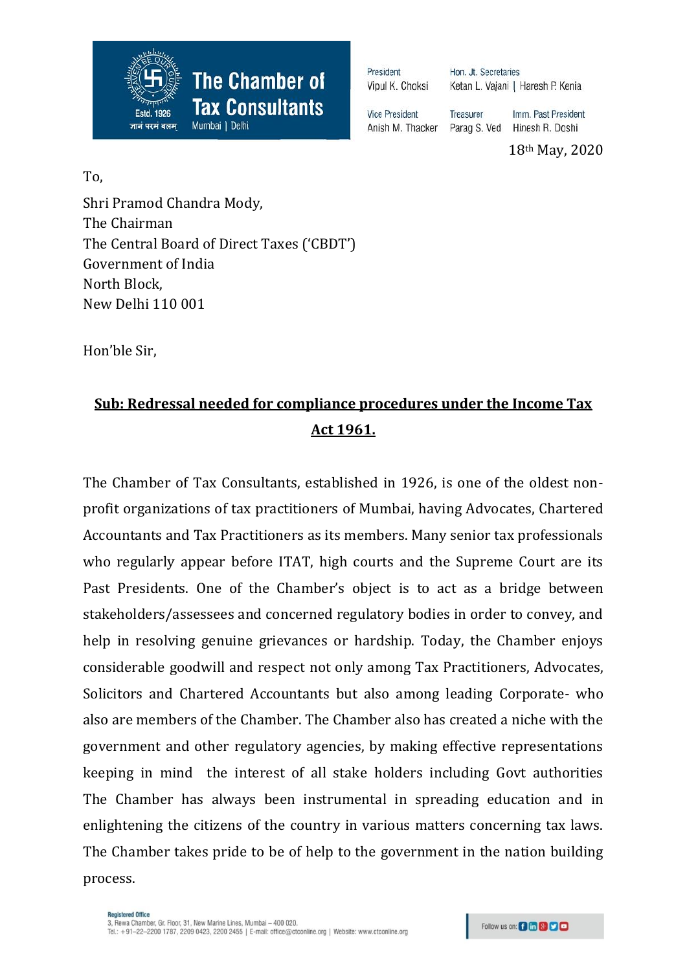

President Vipul K. Choksi Hon. Jt. Secretaries Ketan L. Vajani | Haresh P. Kenia

Treasurer

**Vice President** Parag S. Ved Anish M. Thacker

Hinesh R. Doshi 18th May, 2020

Imm. Past President

To,

Shri Pramod Chandra Mody, The Chairman The Central Board of Direct Taxes ('CBDT') Government of India North Block, New Delhi 110 001

Hon'ble Sir,

## **Sub: Redressal needed for compliance procedures under the Income Tax Act 1961.**

The Chamber of Tax Consultants, established in 1926, is one of the oldest nonprofit organizations of tax practitioners of Mumbai, having Advocates, Chartered Accountants and Tax Practitioners as its members. Many senior tax professionals who regularly appear before ITAT, high courts and the Supreme Court are its Past Presidents. One of the Chamber's object is to act as a bridge between stakeholders/assessees and concerned regulatory bodies in order to convey, and help in resolving genuine grievances or hardship. Today, the Chamber enjoys considerable goodwill and respect not only among Tax Practitioners, Advocates, Solicitors and Chartered Accountants but also among leading Corporate- who also are members of the Chamber. The Chamber also has created a niche with the government and other regulatory agencies, by making effective representations keeping in mind the interest of all stake holders including Govt authorities The Chamber has always been instrumental in spreading education and in enlightening the citizens of the country in various matters concerning tax laws. The Chamber takes pride to be of help to the government in the nation building process.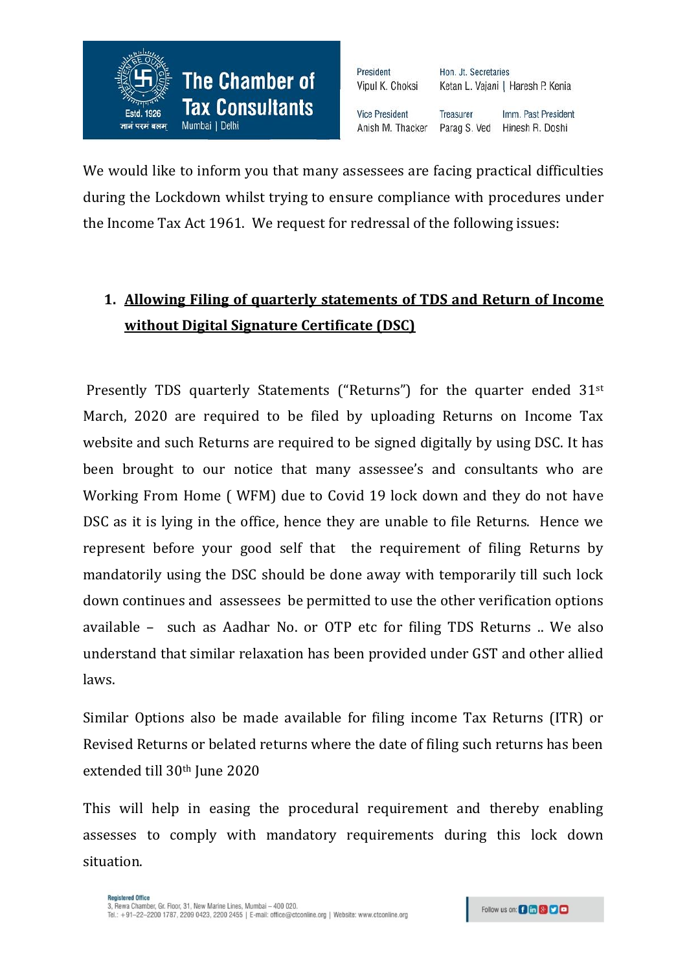

President Hon. Jt. Secretaries Ketan L. Vajani | Haresh P. Kenia Vipul K. Choksi **Vice President Treasurer** Imm. Past President Anish M. Thacker Parag S. Ved Hinesh R. Doshi

We would like to inform you that many assessees are facing practical difficulties during the Lockdown whilst trying to ensure compliance with procedures under the Income Tax Act 1961. We request for redressal of the following issues:

## **1. Allowing Filing of quarterly statements of TDS and Return of Income without Digital Signature Certificate (DSC)**

Presently TDS quarterly Statements ("Returns") for the quarter ended 31<sup>st</sup> March, 2020 are required to be filed by uploading Returns on Income Tax website and such Returns are required to be signed digitally by using DSC. It has been brought to our notice that many assessee's and consultants who are Working From Home ( WFM) due to Covid 19 lock down and they do not have DSC as it is lying in the office, hence they are unable to file Returns. Hence we represent before your good self that the requirement of filing Returns by mandatorily using the DSC should be done away with temporarily till such lock down continues and assessees be permitted to use the other verification options available – such as Aadhar No. or OTP etc for filing TDS Returns .. We also understand that similar relaxation has been provided under GST and other allied laws.

Similar Options also be made available for filing income Tax Returns (ITR) or Revised Returns or belated returns where the date of filing such returns has been extended till 30th June 2020

This will help in easing the procedural requirement and thereby enabling assesses to comply with mandatory requirements during this lock down situation.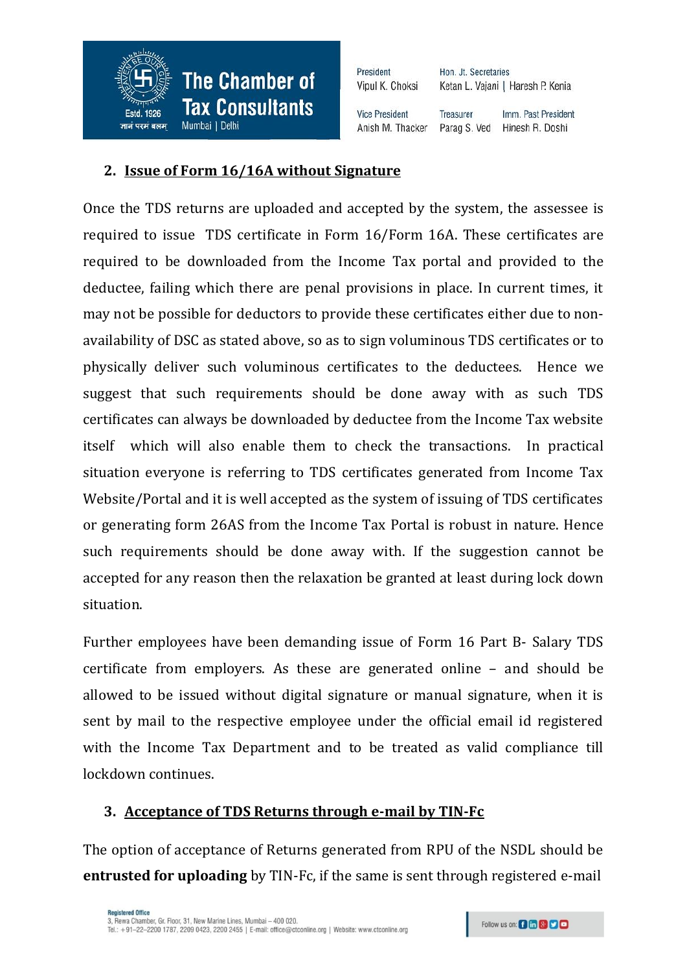

President Vipul K. Choksi Hon. Jt. Secretaries Ketan L. Vajani | Haresh P. Kenia

**Vice President Treasurer** Anish M. Thacker

Imm. Past President Parag S. Ved Hinesh R. Doshi

## **2. Issue of Form 16/16A without Signature**

Once the TDS returns are uploaded and accepted by the system, the assessee is required to issue TDS certificate in Form 16/Form 16A. These certificates are required to be downloaded from the Income Tax portal and provided to the deductee, failing which there are penal provisions in place. In current times, it may not be possible for deductors to provide these certificates either due to nonavailability of DSC as stated above, so as to sign voluminous TDS certificates or to physically deliver such voluminous certificates to the deductees. Hence we suggest that such requirements should be done away with as such TDS certificates can always be downloaded by deductee from the Income Tax website itself which will also enable them to check the transactions. In practical situation everyone is referring to TDS certificates generated from Income Tax Website/Portal and it is well accepted as the system of issuing of TDS certificates or generating form 26AS from the Income Tax Portal is robust in nature. Hence such requirements should be done away with. If the suggestion cannot be accepted for any reason then the relaxation be granted at least during lock down situation.

Further employees have been demanding issue of Form 16 Part B- Salary TDS certificate from employers. As these are generated online – and should be allowed to be issued without digital signature or manual signature, when it is sent by mail to the respective employee under the official email id registered with the Income Tax Department and to be treated as valid compliance till lockdown continues.

## **3. Acceptance of TDS Returns through e-mail by TIN-Fc**

The option of acceptance of Returns generated from RPU of the NSDL should be **entrusted for uploading** by TIN-Fc, if the same is sent through registered e-mail